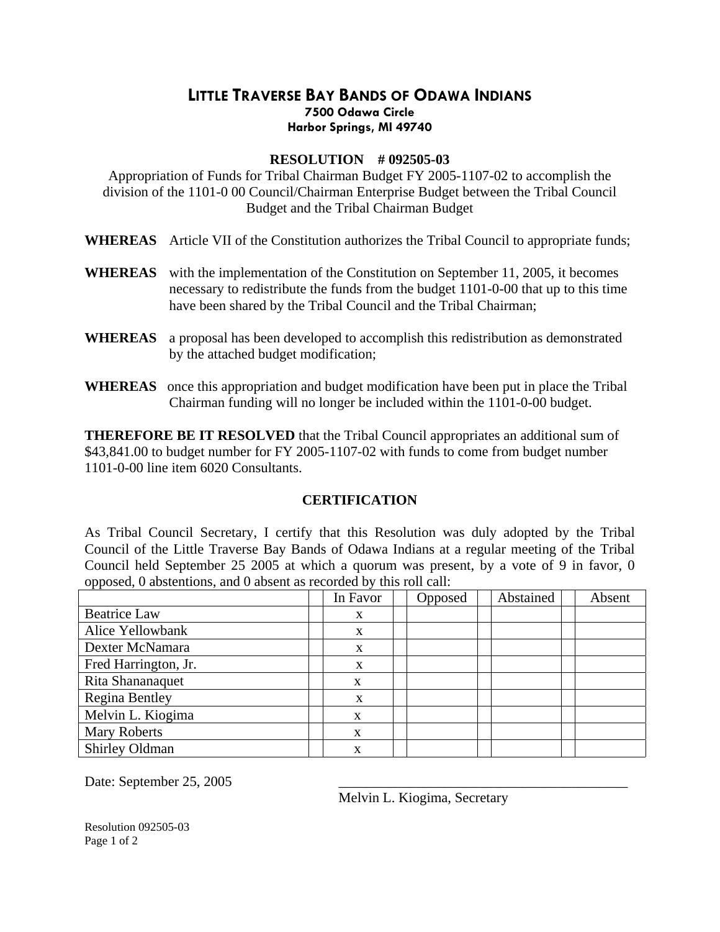## **LITTLE TRAVERSE BAY BANDS OF ODAWA INDIANS 7500 Odawa Circle Harbor Springs, MI 49740**

## **RESOLUTION # 092505-03**

Appropriation of Funds for Tribal Chairman Budget FY 2005-1107-02 to accomplish the division of the 1101-0 00 Council/Chairman Enterprise Budget between the Tribal Council Budget and the Tribal Chairman Budget

- **WHEREAS** Article VII of the Constitution authorizes the Tribal Council to appropriate funds;
- **WHEREAS** with the implementation of the Constitution on September 11, 2005, it becomes necessary to redistribute the funds from the budget 1101-0-00 that up to this time have been shared by the Tribal Council and the Tribal Chairman;
- **WHEREAS** a proposal has been developed to accomplish this redistribution as demonstrated by the attached budget modification;
- **WHEREAS** once this appropriation and budget modification have been put in place the Tribal Chairman funding will no longer be included within the 1101-0-00 budget.

**THEREFORE BE IT RESOLVED** that the Tribal Council appropriates an additional sum of \$43,841.00 to budget number for FY 2005-1107-02 with funds to come from budget number 1101-0-00 line item 6020 Consultants.

## **CERTIFICATION**

As Tribal Council Secretary, I certify that this Resolution was duly adopted by the Tribal Council of the Little Traverse Bay Bands of Odawa Indians at a regular meeting of the Tribal Council held September 25 2005 at which a quorum was present, by a vote of 9 in favor, 0 opposed, 0 abstentions, and 0 absent as recorded by this roll call:

|                      | In Favor | Opposed | Abstained | Absent |
|----------------------|----------|---------|-----------|--------|
| <b>Beatrice Law</b>  | X        |         |           |        |
| Alice Yellowbank     | X        |         |           |        |
| Dexter McNamara      | X        |         |           |        |
| Fred Harrington, Jr. | X        |         |           |        |
| Rita Shananaquet     | X        |         |           |        |
| Regina Bentley       | X        |         |           |        |
| Melvin L. Kiogima    | X        |         |           |        |
| <b>Mary Roberts</b>  | X        |         |           |        |
| Shirley Oldman       | X        |         |           |        |

Date: September 25, 2005

Melvin L. Kiogima, Secretary

Resolution 092505-03 Page 1 of 2